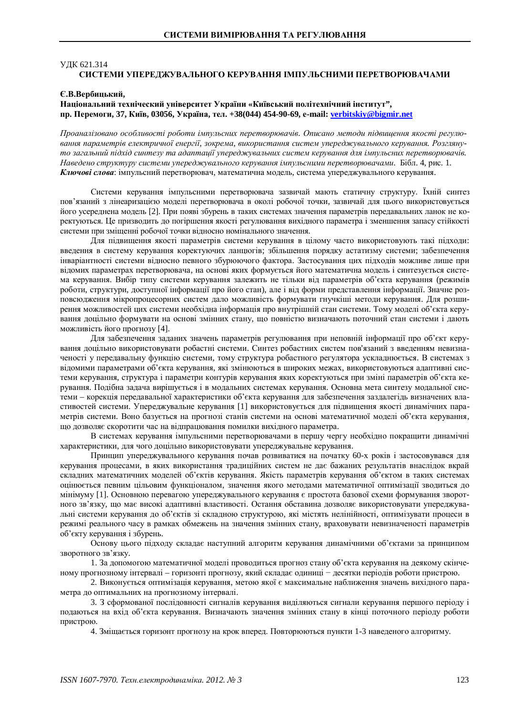## **УДК 621.314** СИСТЕМИ УПЕРЕДЖУВАЛЬНОГО КЕРУВАННЯ ІМПУЛЬСНИМИ ПЕРЕТВОРЮВАЧАМИ

#### **ȯȼȼɟɪɛɢɰɶɤɢɣ,**

# Національний техніческий університет України «Київський політехнічний інститут", **ɩɪ. ɉɟɪɟɦɨɝɢ, 37, Ʉɢʀɜ, 03056, ɍɤɪɚʀɧɚ, ɬɟɥ. +38(044) 454-90-69, ɟ-mail: [verbitskiy@bigmir.net](mailto:verbitskiy:@bigmir.net)**

*ɉɪɨɚɧɚɥɿɡɨɜɚɧɨɨɫɨɛɥɢɜɨɫɬɿɪɨɛɨɬɢɿɦɩɭɥɶɫɧɢɯɩɟɪɟɬɜɨɪɸɜɚɱɿɜ. Ɉɩɢɫɚɧɨɦɟɬɨɞɢɩɿɞɜɢɳɟɧɧɹɹɤɨɫɬɿɪɟɝɭɥɸɜɚɧɧɹɩɚɪɚɦɟɬɪɿɜɟɥɟɤɬɪɢɱɧɨʀɟɧɟɪɝɿʀ, ɡɨɤɪɟɦɚ, ɜɢɤɨɪɢɫɬɚɧɧɹɫɢɫɬɟɦɭɩɟɪɟɞɠɭɜɚɥɶɧɨɝɨɤɟɪɭɜɚɧɧɹ. Ɋɨɡɝɥɹɧɭ*то загальний підхід синтезу та адаптації упереджувальних систем керування для імпульсних перетворювачів. Наведено структуру системи упереджувального керування імпульсними перетворювачами. Бібл. 4, рис. 1. Ключові слова: імпульсний перетворювач, математична модель, система упереджувального керування.

Системи керування імпульсними перетворювача зазвичай мають статичну структуру. Їхній синтез пов'язаний з лінеаризацією моделі перетворювача в околі робочої точки, зазвичай для цього використовується його усереднена модель [2]. При появі збурень в таких системах значення параметрів передавальних ланок не коректуються. Це призводить до погіршення якості регулювання вихідного параметра і зменшення запасу стійкості системи при зміщенні робочої точки відносно номінального значення.

Для підвищення якості параметрів системи керування в цілому часто використовують такі підходи: введення в систему керування коректуючих ланцюгів; збільшення порядку астатизму системи; забезпечення інваріантності системи відносно певного збурюючого фактора. Застосування цих підходів можливе лише при відомих параметрах перетворювача, на основі яких формується його математична модель і синтезується система керування. Вибір типу системи керування залежить не тільки від параметрів об'єкта керування (режимів роботи, структури, доступної інформації про його стан), але і від форми представлення інформації. Значне розповсюдження мікропроцесорних систем дало можливість формувати гнучкіші методи керування. Для розширення можливостей цих системи необхідна інформація про внутрішній стан системи. Тому моделі об'єкта керування доцільно формувати на основі змінних стану, що повністю визначають поточний стан системи і дають можливість його прогнозу [4].

Для забезпечення заданих значень параметрів регулювання при неповній інформації про об'єкт керування доцільно використовувати робастні системи. Синтез робастних систем пов'язаний з введенням невизначеності у передавальну функцію системи, тому структура робастного регулятора ускладнюється. В системах з відомими параметрами об'єкта керування, які змінюються в широких межах, використовуються адаптивні системи керування, структура і параметри контурів керування яких коректуються при зміні параметрів об'єкта керування. Подібна задача вирішується і в модальних системах керування. Основна мета синтезу модальної системи – корекція передавальної характеристики об'єкта керування для забезпечення заздалегідь визначених властивостей системи. Упереджувальне керування [1] використовується для підвищення якості динамічних параметрів системи. Воно базується на прогнозі станів системи на основі математичної молелі об'єкта керування, що дозволяє скоротити час на відпрацювання помилки вихідного параметра.

В системах керування імпульсними перетворювачами в першу чергу необхідно покращити динамічні характеристики, для чого доцільно використовувати упереджувальне керування.

Принцип упереджувального керування почав розвиватися на початку 60-х років і застосовувався для керування процесами, в яких використання традиційних систем не дає бажаних результатів внаслідок вкрай складних математичних моделей об'єктів керування. Якість параметрів керування об'єктом в таких системах оцінюється певним цільовим функціоналом, значення якого методами математичної оптимізації зводиться до мінімуму [1]. Основною перевагою упереджувального керування є простота базової схеми формування зворотного зв'язку, що має високі адаптивні властивості. Остання обставина дозволяє використовувати упереджувальні системи керування до об'єктів зі складною структурою, які містять нелінійності, оптимізувати процеси в режимі реального часу в рамках обмежень на значення змінних стану, враховувати невизначеності параметрів об'єкту керування і збурень.

Основу цього підходу складає наступний алгоритм керування динамічними об'єктами за принципом зворотного зв'язку.

1. За допомогою математичної моделі проводиться прогноз стану об'єкта керування на деякому скінченому прогнозному інтервалі – горизонті прогнозу, який складає одиниці – десятки періодів роботи пристрою.

2. Виконується оптимізація керування, метою якої є максимальне наближення значень вихідного параметра до оптимальних на прогнозному інтервалі.

3. З сформованої послідовності сигналів керування виділяються сигнали керування першого періоду і полаються на вхіл об'єкта керування. Визначають значення змінних стану в кінці поточного періолу роботи пристрою.

4. Зміщається горизонт прогнозу на крок вперед. Повторюються пункти 1-3 наведеного алгоритму.